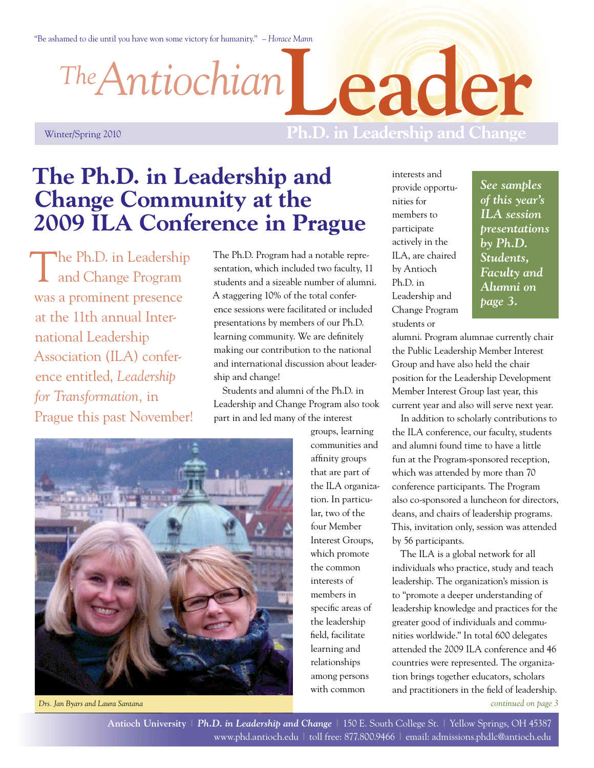"Be ashamed to die until you have won some victory for humanity." *– Horace Mann*

*Antiochian The*

**Leader**

## Winter/Spring 2010

# **Ph.D. in Leadership and Change**

# **The Ph.D. in Leadership and Change Community at the 2009 ILA Conference in Prague**

The Ph.D. in Leadership<br>and Change Program was a prominent presence at the 11th annual International Leadership Association (ILA) conference entitled, *Leadership for Transformation,* in Prague this past November!

The Ph.D. Program had a notable representation, which included two faculty, 11 students and a sizeable number of alumni. A staggering 10% of the total conference sessions were facilitated or included presentations by members of our Ph.D. learning community. We are definitely making our contribution to the national and international discussion about leadership and change!

Students and alumni of the Ph.D. in Leadership and Change Program also took part in and led many of the interest



*Drs. Jan Byars and Laura Santana*

groups, learning communities and affinity groups that are part of the ILA organization. In particular, two of the four Member Interest Groups, which promote the common interests of members in specific areas of the leadership field, facilitate learning and relationships among persons with common

interests and provide opportunities for members to participate actively in the ILA, are chaired by Antioch Ph.D. in Leadership and Change Program students or

*[See samples](#page-2-0)  [of this year's](#page-2-0)  [ILA session](#page-2-0)  [presentations](#page-2-0)  [by Ph.D.](#page-2-0)  [Students,](#page-2-0)  [Faculty and](#page-2-0)  [Alumni on](#page-2-0)  [page 3.](#page-2-0)*

alumni. Program alumnae currently chair the Public Leadership Member Interest Group and have also held the chair position for the Leadership Development Member Interest Group last year, this current year and also will serve next year.

In addition to scholarly contributions to the ILA conference, our faculty, students and alumni found time to have a little fun at the Program-sponsored reception, which was attended by more than 70 conference participants. The Program also co-sponsored a luncheon for directors, deans, and chairs of leadership programs. This, invitation only, session was attended by 56 participants.

*[continued on page 3](#page-2-0)* The ILA is a global network for all individuals who practice, study and teach leadership. The organization's mission is to "promote a deeper understanding of leadership knowledge and practices for the greater good of individuals and communities worldwide." In total 600 delegates attended the 2009 ILA conference and 46 countries were represented. The organization brings together educators, scholars and practitioners in the field of leadership.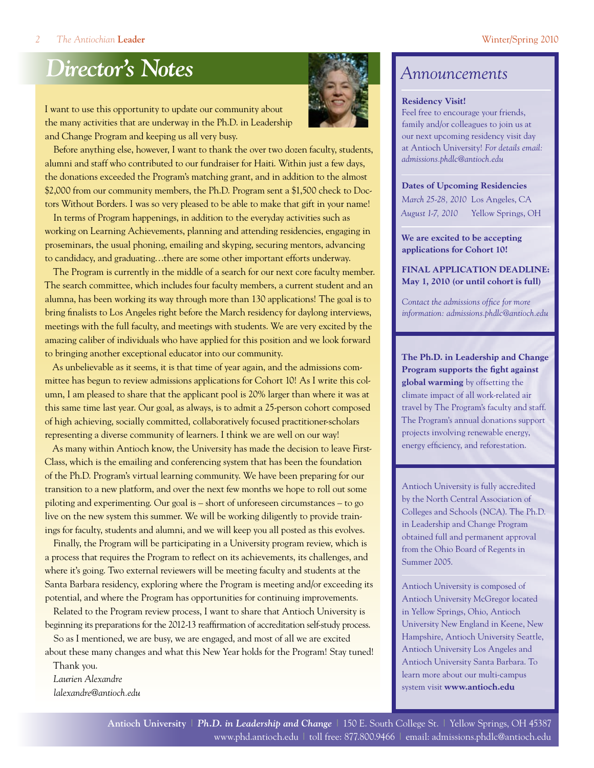# *Director's Notes Announcements*

I want to use this opportunity to update our community about the many activities that are underway in the Ph.D. in Leadership and Change Program and keeping us all very busy.



Before anything else, however, I want to thank the over two dozen faculty, students, alumni and staff who contributed to our fundraiser for Haiti. Within just a few days, the donations exceeded the Program's matching grant, and in addition to the almost \$2,000 from our community members, the Ph.D. Program sent a \$1,500 check to Doctors Without Borders. I was so very pleased to be able to make that gift in your name!

In terms of Program happenings, in addition to the everyday activities such as working on Learning Achievements, planning and attending residencies, engaging in proseminars, the usual phoning, emailing and skyping, securing mentors, advancing to candidacy, and graduating…there are some other important efforts underway.

The Program is currently in the middle of a search for our next core faculty member. The search committee, which includes four faculty members, a current student and an alumna, has been working its way through more than 130 applications! The goal is to bring finalists to Los Angeles right before the March residency for daylong interviews, meetings with the full faculty, and meetings with students. We are very excited by the amazing caliber of individuals who have applied for this position and we look forward to bringing another exceptional educator into our community.

As unbelievable as it seems, it is that time of year again, and the admissions committee has begun to review admissions applications for Cohort 10! As I write this column, I am pleased to share that the applicant pool is 20% larger than where it was at this same time last year. Our goal, as always, is to admit a 25-person cohort composed of high achieving, socially committed, collaboratively focused practitioner-scholars representing a diverse community of learners. I think we are well on our way!

As many within Antioch know, the University has made the decision to leave First-Class, which is the emailing and conferencing system that has been the foundation of the Ph.D. Program's virtual learning community. We have been preparing for our transition to a new platform, and over the next few months we hope to roll out some piloting and experimenting. Our goal is – short of unforeseen circumstances – to go live on the new system this summer. We will be working diligently to provide trainings for faculty, students and alumni, and we will keep you all posted as this evolves.

Finally, the Program will be participating in a University program review, which is a process that requires the Program to reflect on its achievements, its challenges, and where it's going. Two external reviewers will be meeting faculty and students at the Santa Barbara residency, exploring where the Program is meeting and/or exceeding its potential, and where the Program has opportunities for continuing improvements.

Related to the Program review process, I want to share that Antioch University is beginning its preparations for the 2012-13 reaffirmation of accreditation self-study process.

So as I mentioned, we are busy, we are engaged, and most of all we are excited about these many changes and what this New Year holds for the Program! Stay tuned!

Thank you. *Laurien Alexandre [lalexandre@antioch.edu](mailto:lalexandre@antioch.edu)*

### **Residency Visit!**

Feel free to encourage your friends, family and/or colleagues to join us at our next upcoming residency visit day at Antioch University! *For details email: [admissions.phdlc@antioch.edu](mailto:admissions.phdlc%40antioch.edu?subject=)*

### **Dates of Upcoming Residencies**

*March 25-28, 2010* Los Angeles, CA *August 1-7, 2010* Yellow Springs, OH

**We are excited to be accepting applications for Cohort 10!**

**FINAL APPLICATION DEADLINE: May 1, 2010 (or until cohort is full)**

*Contact the admissions office for more information: [admissions.phdlc@antioch.edu](mailto:admissions.phdlc%40antioch.edu?subject=)*

**The Ph.D. in Leadership and Change Program supports the fight against global warming** by offsetting the climate impact of all work-related air travel by The Program's faculty and staff. The Program's annual donations support projects involving renewable energy, energy efficiency, and reforestation.

Antioch University is fully accredited by the North Central Association of Colleges and Schools (NCA). The Ph.D. in Leadership and Change Program obtained full and permanent approval from the Ohio Board of Regents in Summer 2005.

Antioch University is composed of Antioch University McGregor located in Yellow Springs, Ohio, Antioch University New England in Keene, New Hampshire, Antioch University Seattle, Antioch University Los Angeles and Antioch University Santa Barbara. To learn more about our multi-campus system visit **[www.antioch.edu](http://www.antioch.edu)**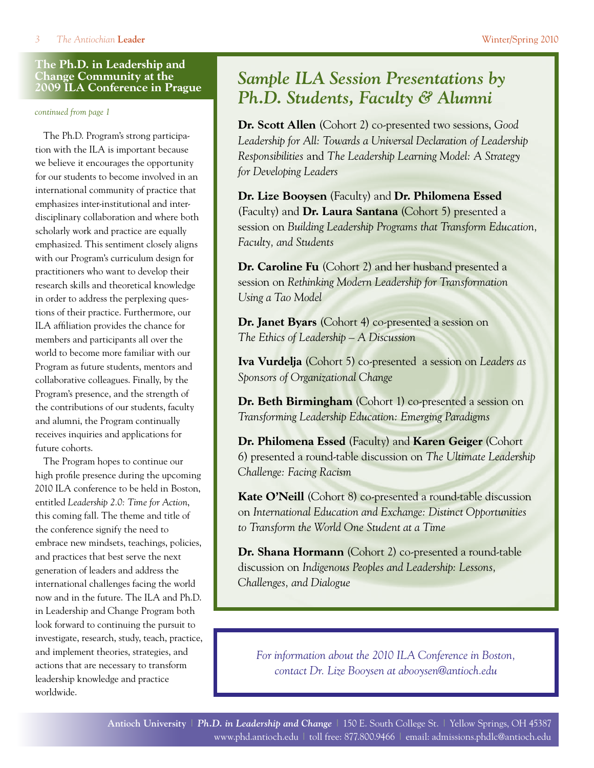## <span id="page-2-0"></span>**The Ph.D. in Leadership and Change Community at the 2009 ILA Conference in Prague**

*continued from page 1*

The Ph.D. Program's strong participation with the ILA is important because we believe it encourages the opportunity for our students to become involved in an international community of practice that emphasizes inter-institutional and interdisciplinary collaboration and where both scholarly work and practice are equally emphasized. This sentiment closely aligns with our Program's curriculum design for practitioners who want to develop their research skills and theoretical knowledge in order to address the perplexing questions of their practice. Furthermore, our ILA affiliation provides the chance for members and participants all over the world to become more familiar with our Program as future students, mentors and collaborative colleagues. Finally, by the Program's presence, and the strength of the contributions of our students, faculty and alumni, the Program continually receives inquiries and applications for future cohorts.

The Program hopes to continue our high profile presence during the upcoming 2010 ILA conference to be held in Boston, entitled *Leadership 2.0: Time for Action*, this coming fall. The theme and title of the conference signify the need to embrace new mindsets, teachings, policies, and practices that best serve the next generation of leaders and address the international challenges facing the world now and in the future. The ILA and Ph.D. in Leadership and Change Program both look forward to continuing the pursuit to investigate, research, study, teach, practice, and implement theories, strategies, and actions that are necessary to transform leadership knowledge and practice worldwide.

# *Sample ILA Session Presentations by Ph.D. Students, Faculty & Alumni*

**Dr. Scott Allen** (Cohort 2) co-presented two sessions, *Good*  Leadership for All: Towards a Universal Declaration of Leadership *Responsibilities* and *The Leadership Learning Model: A Strategy for Developing Leaders*

**Dr. Lize Booysen** (Faculty) and **Dr. Philomena Essed**  (Faculty) and **Dr. Laura Santana** (Cohort 5) presented a session on *Building Leadership Programs that Transform Education, Faculty, and Students*

**Dr. Caroline Fu** (Cohort 2) and her husband presented a session on *Rethinking Modern Leadership for Transformation Using a Tao Model*

**Dr. Janet Byars** (Cohort 4) co-presented a session on *The Ethics of Leadership – A Discussion*

**Iva Vurdelja** (Cohort 5) co-presented a session on *Leaders as Sponsors of Organizational Change* 

**Dr. Beth Birmingham** (Cohort 1) co-presented a session on *Transforming Leadership Education: Emerging Paradigms*

**Dr. Philomena Essed** (Faculty) and **Karen Geiger** (Cohort 6) presented a round-table discussion on *The Ultimate Leadership Challenge: Facing Racism*

**Kate O'Neill** (Cohort 8) co-presented a round-table discussion on *International Education and Exchange: Distinct Opportunities to Transform the World One Student at a Time* 

**Dr. Shana Hormann** (Cohort 2) co-presented a round-table discussion on *Indigenous Peoples and Leadership: Lessons, Challenges, and Dialogue*

*For information about the 2010 ILA Conference in Boston, contact Dr. Lize Booysen at [abooysen@antioch.edu](mailto:abooysen%40antioch.edu?subject=)*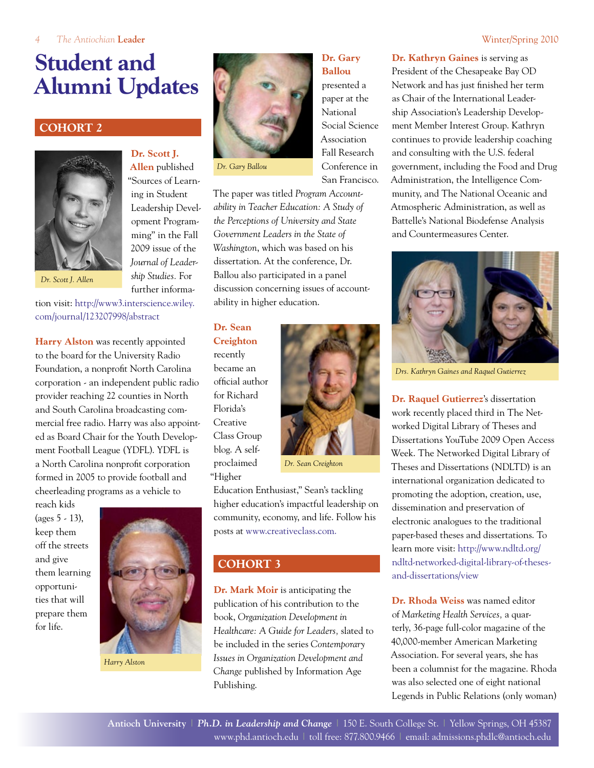# **Student and Alumni Updates**

# **Cohort 2**



**Dr. Scott J. Allen** published "Sources of Learning in Student Leadership Development Programming" in the Fall 2009 issue of the *Journal of Leadership Studies.* For further informa-

*Dr. Scott J. Allen*

tion visit: [http://www3.interscience.wiley.](http://www3.interscience.wiley.com/journal/123207998/abstract) [com/journal/123207998/abstract](http://www3.interscience.wiley.com/journal/123207998/abstract)

**Harry Alston** was recently appointed to the board for the University Radio Foundation, a nonprofit North Carolina corporation - an independent public radio provider reaching 22 counties in North and South Carolina broadcasting commercial free radio. Harry was also appointed as Board Chair for the Youth Development Football League (YDFL). YDFL is a North Carolina nonprofit corporation formed in 2005 to provide football and cheerleading programs as a vehicle to

reach kids (ages 5 - 13), keep them off the streets and give them learning opportunities that will prepare them for life.



*Harry Alston*



*Dr. Gary Ballou*

The paper was titled *Program Accountability in Teacher Education: A Study of the Perceptions of University and State Government Leaders in the State of Washington*, which was based on his dissertation. At the conference, Dr. Ballou also participated in a panel discussion concerning issues of accountability in higher education.

**Dr. Sean Creighton** recently became an official author for Richard Florida's **Creative** Class Group blog. A selfproclaimed "Higher



Education Enthusiast," Sean's tackling higher education's impactful leadership on community, economy, and life. Follow his posts at [www.creativeclass.com.](http://www.creativeclass.com)

## **COHORT 3**

**Dr. Mark Moir** is anticipating the publication of his contribution to the book, *Organization Development in Healthcare: A Guide for Leaders,* slated to be included in the series *Contemporary Issues in Organization Development and Change* published by Information Age Publishing.

# **Dr. Gary Ballou** presented a

paper at the National Social Science Association Fall Research Conference in San Francisco.

**Dr. Kathryn Gaines** is serving as President of the Chesapeake Bay OD Network and has just finished her term as Chair of the International Leadership Association's Leadership Development Member Interest Group. Kathryn continues to provide leadership coaching and consulting with the U.S. federal government, including the Food and Drug Administration, the Intelligence Community, and The National Oceanic and Atmospheric Administration, as well as Battelle's National Biodefense Analysis and Countermeasures Center.



*Drs. Kathryn Gaines and Raquel Gutierrez*

**Dr. Raquel Gutierrez**'s dissertation work recently placed third in The Networked Digital Library of Theses and Dissertations YouTube 2009 Open Access Week. The Networked Digital Library of Theses and Dissertations (NDLTD) is an international organization dedicated to promoting the adoption, creation, use, dissemination and preservation of electronic analogues to the traditional paper-based theses and dissertations. To learn more visit: [http://www.ndltd.org/](http://www.ndltd.org/ndltd-networked-digital-library-of-theses-and-dissertations/view) [ndltd-networked-digital-library-of-theses](http://www.ndltd.org/ndltd-networked-digital-library-of-theses-and-dissertations/view)[and-dissertations/view](http://www.ndltd.org/ndltd-networked-digital-library-of-theses-and-dissertations/view)

**Dr. Rhoda Weiss** was named editor of *Marketing Health Services,* a quarterly, 36-page full-color magazine of the 40,000-member American Marketing Association. For several years, she has been a columnist for the magazine. Rhoda was also selected one of eight national Legends in Public Relations (only woman)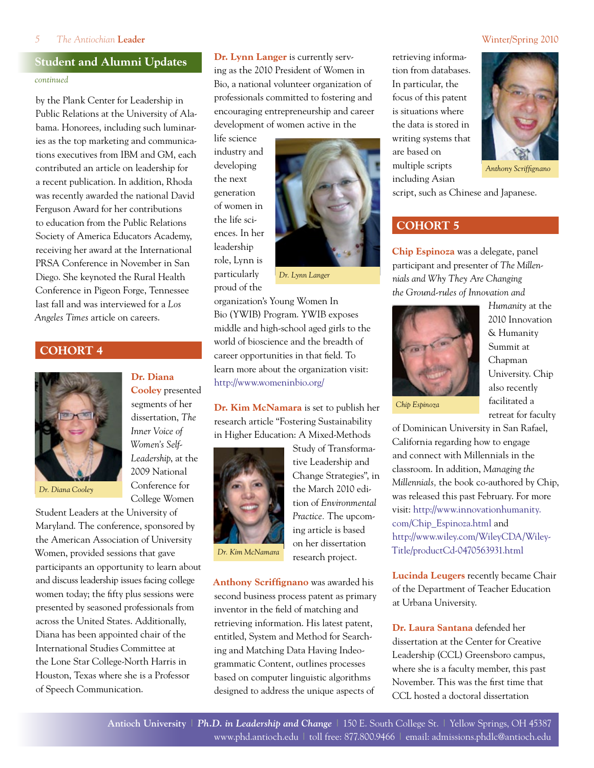### *5 The Antiochian* **Leader** Winter/Spring 2010

# **Student and Alumni Updates**

### *continued*

by the Plank Center for Leadership in Public Relations at the University of Alabama. Honorees, including such luminaries as the top marketing and communications executives from IBM and GM, each contributed an article on leadership for a recent publication. In addition, Rhoda was recently awarded the national David Ferguson Award for her contributions to education from the Public Relations Society of America Educators Academy, receiving her award at the International PRSA Conference in November in San Diego. She keynoted the Rural Health Conference in Pigeon Forge, Tennessee last fall and was interviewed for a *Los Angeles Times* article on careers.

**Dr. Diana** 

**Cooley** presented segments of her dissertation, *The Inner Voice of Women's Self-Leadership*, at the 2009 National Conference for College Women

### **Cohort 4**



*Dr. Diana Cooley*

Student Leaders at the University of Maryland. The conference, sponsored by the American Association of University Women, provided sessions that gave participants an opportunity to learn about and discuss leadership issues facing college women today; the fifty plus sessions were presented by seasoned professionals from across the United States. Additionally, Diana has been appointed chair of the International Studies Committee at the Lone Star College-North Harris in Houston, Texas where she is a Professor of Speech Communication.

**Dr. Lynn Langer** is currently serving as the 2010 President of Women in Bio, a national volunteer organization of professionals committed to fostering and encouraging entrepreneurship and career development of women active in the

life science industry and developing the next generation of women in the life sciences. In her leadership role, Lynn is particularly proud of the



*Dr. Lynn Langer*

organization's Young Women In Bio (YWIB) Program. YWIB exposes middle and high-school aged girls to the world of bioscience and the breadth of career opportunities in that field. To learn more about the organization visit: <http://www.womeninbio.org/>

**Dr. Kim McNamara** is set to publish her research article "Fostering Sustainability in Higher Education: A Mixed-Methods



Study of Transformative Leadership and Change Strategies", in the March 2010 edition of *Environmental Practice.* The upcoming article is based on her dissertation research project.

**Anthony Scriffignano** was awarded his second business process patent as primary inventor in the field of matching and retrieving information. His latest patent, entitled, System and Method for Searching and Matching Data Having Indeogrammatic Content, outlines processes based on computer linguistic algorithms designed to address the unique aspects of

retrieving information from databases. In particular, the focus of this patent is situations where the data is stored in writing systems that are based on multiple scripts including Asian



*Anthony Scriffignano*

script, such as Chinese and Japanese.

# **COHORT 5**

**Chip Espinoza** was a delegate, panel participant and presenter of *The Millennials and Why They Are Changing the Ground-rules of Innovation and* 



*Chip Espinoza*

*Humanity* at the 2010 Innovation & Humanity Summit at Chapman University. Chip also recently facilitated a retreat for faculty

of Dominican University in San Rafael, California regarding how to engage and connect with Millennials in the classroom. In addition, *Managing the Millennials,* the book co-authored by Chip, was released this past February. For more visit: [http://www.innovationhumanity.](http://www.innovationhumanity.com/Chip_Espinoza.html) [com/Chip\\_Espinoza.html](http://www.innovationhumanity.com/Chip_Espinoza.html) and [http://www.wiley.com/WileyCDA/Wiley-](http://www.wiley.com/WileyCDA/WileyTitle/productCd-0470563931.html)[Title/productCd-0470563931.html](http://www.wiley.com/WileyCDA/WileyTitle/productCd-0470563931.html)

**Lucinda Leugers** recently became Chair of the Department of Teacher Education at Urbana University.

**Dr. Laura Santana** defended her dissertation at the Center for Creative Leadership (CCL) Greensboro campus, where she is a faculty member, this past November. This was the first time that CCL hosted a doctoral dissertation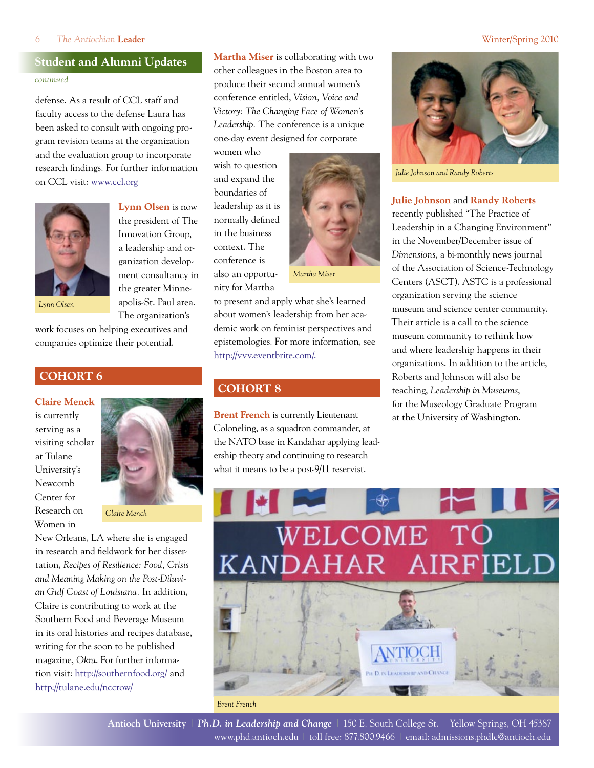### *6 The Antiochian* **Leader** Winter/Spring 2010

# **Student and Alumni Updates** *continued*

defense. As a result of CCL staff and faculty access to the defense Laura has been asked to consult with ongoing program revision teams at the organization and the evaluation group to incorporate research findings. For further information on CCL visit: [www.ccl.org](http://www.ccl.org)

> **Lynn Olsen** is now the president of The Innovation Group, a leadership and organization development consultancy in the greater Minneapolis-St. Paul area. The organization's



*Lynn Olsen*

work focuses on helping executives and companies optimize their potential.

# **COHORT 6**

**Claire Menck**

is currently serving as a visiting scholar at Tulane University's Newcomb Center for Research on Women in



*Claire Menck*

New Orleans, LA where she is engaged in research and fieldwork for her dissertation, *Recipes of Resilience: Food, Crisis and Meaning Making on the Post-Diluvian Gulf Coast of Louisiana.* In addition, Claire is contributing to work at the Southern Food and Beverage Museum in its oral histories and recipes database, writing for the soon to be published magazine, *Okra*. For further information visit:<http://southernfood.org/>and <http://tulane.edu/nccrow/>

**Martha Miser** is collaborating with two other colleagues in the Boston area to produce their second annual women's conference entitled, *Vision, Voice and Victory: The Changing Face of Women's Leadership.* The conference is a unique one-day event designed for corporate

women who wish to question and expand the boundaries of leadership as it is normally defined in the business context. The conference is also an opportunity for Martha



to present and apply what she's learned about women's leadership from her academic work on feminist perspectives and epistemologies. For more information, see [http://vvv.eventbrite.com/.](http://vvv.eventbrite.com/)

# **Cohort 8**

**Brent French** is currently Lieutenant Coloneling, as a squadron commander, at the NATO base in Kandahar applying leadership theory and continuing to research what it means to be a post-9/11 reservist.



*Julie Johnson and Randy Roberts*

### **Julie Johnson** and **Randy Roberts**

recently published "The Practice of Leadership in a Changing Environment" in the November/December issue of *Dimensions*, a bi-monthly news journal of the Association of Science-Technology Centers (ASCT). ASTC is a professional organization serving the science museum and science center community. Their article is a call to the science museum community to rethink how and where leadership happens in their organizations. In addition to the article, Roberts and Johnson will also be teaching, *Leadership in Museums*, for the Museology Graduate Program at the University of Washington.

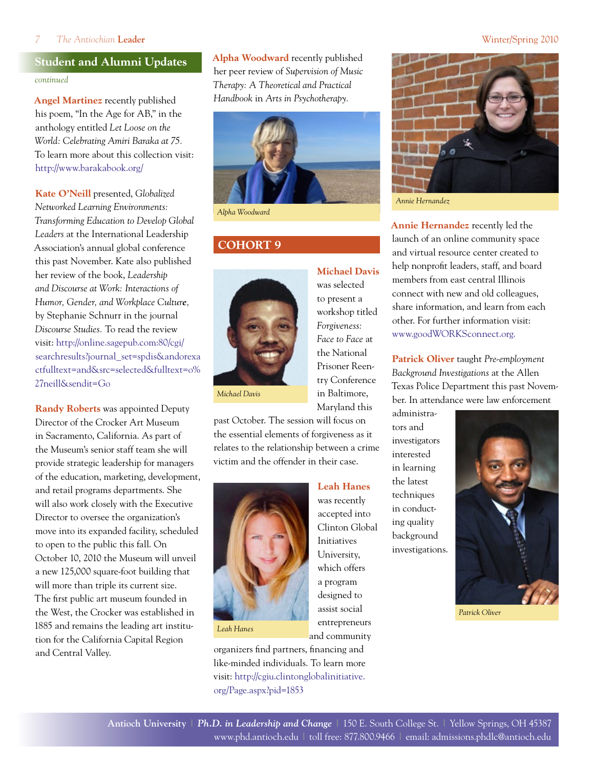### *7 The Antiochian* **Leader** Winter/Spring 2010

# **Student and Alumni Updates**

*continued*

**Angel Martinez** recently published his poem, "In the Age for AB," in the anthology entitled *Let Loose on the World: Celebrating Amiri Baraka at 75.* To learn more about this collection visit: <http://www.barakabook.org/>

**Kate O'Neill** presented, *Globalized Networked Learning Environments: Transforming Education to Develop Global Leaders* at the International Leadership Association's annual global conference this past November. Kate also published her review of the book, *Leadership and Discourse at Work: Interactions of Humor, Gender, and Workplace Culture,* by Stephanie Schnurr in the journal *Discourse Studies.* To read the review visit: [http://online.sagepub.com:80/cgi/](http://online.sagepub.com:80/cgi/searchresults?journal_set=spdis&andorexactfulltext=and&src=selected&fulltext=o%27neill&sendit=Go) [searchresults?journal\\_set=spdis&andorexa](http://online.sagepub.com:80/cgi/searchresults?journal_set=spdis&andorexactfulltext=and&src=selected&fulltext=o%27neill&sendit=Go) [ctfulltext=and&src=selected&fulltext=o%](http://online.sagepub.com:80/cgi/searchresults?journal_set=spdis&andorexactfulltext=and&src=selected&fulltext=o%27neill&sendit=Go) [27neill&sendit=Go](http://online.sagepub.com:80/cgi/searchresults?journal_set=spdis&andorexactfulltext=and&src=selected&fulltext=o%27neill&sendit=Go)

**Randy Roberts** was appointed Deputy Director of the Crocker Art Museum in Sacramento, California. As part of the Museum's senior staff team she will provide strategic leadership for managers of the education, marketing, development, and retail programs departments. She will also work closely with the Executive Director to oversee the organization's move into its expanded facility, scheduled to open to the public this fall. On October 10, 2010 the Museum will unveil a new 125,000 square-foot building that will more than triple its current size. The first public art museum founded in the West, the Crocker was established in 1885 and remains the leading art institution for the California Capital Region and Central Valley.

**Alpha Woodward** recently published her peer review of *Supervision of Music Therapy: A Theoretical and Practical Handbook* in *Arts in Psychotherapy.*



*Alpha Woodward*

# **Cohort 9**



## **Michael Davis** was selected

to present a workshop titled *Forgiveness: Face to Face* at the National Prisoner Reentry Conference in Baltimore, Maryland this

past October. The session will focus on the essential elements of forgiveness as it relates to the relationship between a crime victim and the offender in their case.



*Leah Hanes*

organizers find partners, financing and like-minded individuals. To learn more visit: [http://cgiu.clintonglobalinitiative.](http://cgiu.clintonglobalinitiative.org/Page.aspx?pid=1853) [org/Page.aspx?pid=1853](http://cgiu.clintonglobalinitiative.org/Page.aspx?pid=1853)



**Annie Hernandez** recently led the launch of an online community space and virtual resource center created to help nonprofit leaders, staff, and board members from east central Illinois connect with new and old colleagues, share information, and learn from each other. For further information visit: [www.goodWORKSconnect.org](http://www.goodWORKSconnect.org).

**Patrick Oliver** taught *Pre-employment Background Investigations* at the Allen Texas Police Department this past November. In attendance were law enforcement

administrators and investigators interested in learning the latest techniques in conducting quality background investigations.



*Patrick Oliver*

**Leah Hanes**  was recently accepted into Clinton Global Initiatives University, which offers a program designed to assist social entrepreneurs and community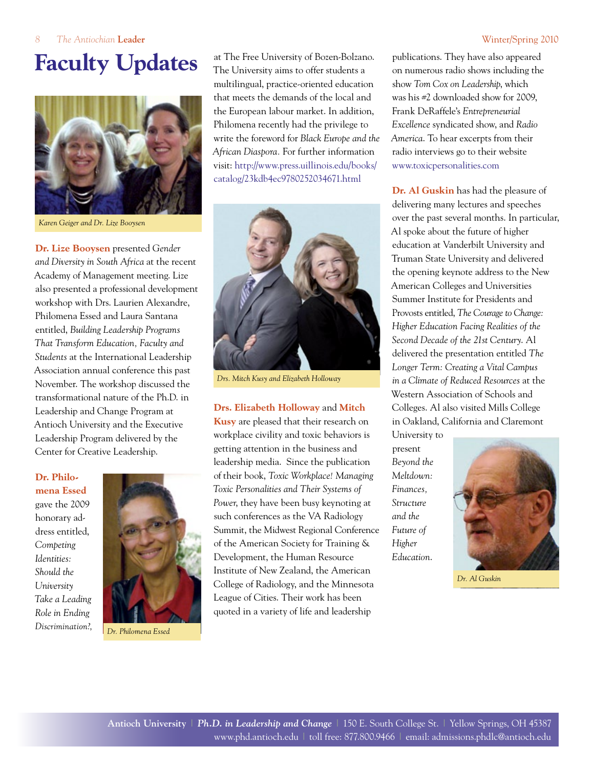# **Faculty Updates**



*Karen Geiger and Dr. Lize Booysen*

**Dr. Lize Booysen** presented *Gender and Diversity in South Africa* at the recent Academy of Management meeting. Lize also presented a professional development workshop with Drs. Laurien Alexandre, Philomena Essed and Laura Santana entitled, *Building Leadership Programs That Transform Education, Faculty and Students* at the International Leadership Association annual conference this past November. The workshop discussed the transformational nature of the Ph.D. in Leadership and Change Program at Antioch University and the Executive Leadership Program delivered by the Center for Creative Leadership.

**Dr. Philomena Essed**  gave the 2009 honorary address entitled, *Competing Identities: Should the University Take a Leading Role in Ending Discrimination?,*



*Dr. Philomena Essed*

at The Free University of Bozen-Bolzano. The University aims to offer students a multilingual, practice-oriented education that meets the demands of the local and the European labour market. In addition, Philomena recently had the privilege to write the foreword for *Black Europe and the African Diaspora.* For further information visit: [http://www.press.uillinois.edu/books/](http://www.press.uillinois.edu/books/catalog/23kdb4ec9780252034671.html) [catalog/23kdb4ec9780252034671.html](http://www.press.uillinois.edu/books/catalog/23kdb4ec9780252034671.html)



*Drs. Mitch Kusy and Elizabeth Holloway*

### **Drs. Elizabeth Holloway** and **Mitch**

**Kusy** are pleased that their research on workplace civility and toxic behaviors is getting attention in the business and leadership media. Since the publication of their book, *Toxic Workplace! Managing Toxic Personalities and Their Systems of Power*, they have been busy keynoting at such conferences as the VA Radiology Summit, the Midwest Regional Conference of the American Society for Training & Development, the Human Resource Institute of New Zealand, the American College of Radiology, and the Minnesota League of Cities. Their work has been quoted in a variety of life and leadership

publications. They have also appeared on numerous radio shows including the show *Tom Cox on Leadership*, which was his #2 downloaded show for 2009, Frank DeRaffele's *Entrepreneurial Excellence* syndicated show, and *Radio America*. To hear excerpts from their radio interviews go to their website [www.toxicpersonalities.com](http://www.toxicpersonalities.com)

**Dr. Al Guskin** has had the pleasure of delivering many lectures and speeches over the past several months. In particular, Al spoke about the future of higher education at Vanderbilt University and Truman State University and delivered the opening keynote address to the New American Colleges and Universities Summer Institute for Presidents and Provosts entitled, *The Courage to Change: Higher Education Facing Realities of the Second Decade of the 21st Century*. Al delivered the presentation entitled *The Longer Term: Creating a Vital Campus in a Climate of Reduced Resources* at the Western Association of Schools and Colleges. Al also visited Mills College in Oakland, California and Claremont

University to present *Beyond the Meltdown: Finances, Structure and the Future of Higher Education*.



*Dr. Al Guskin*